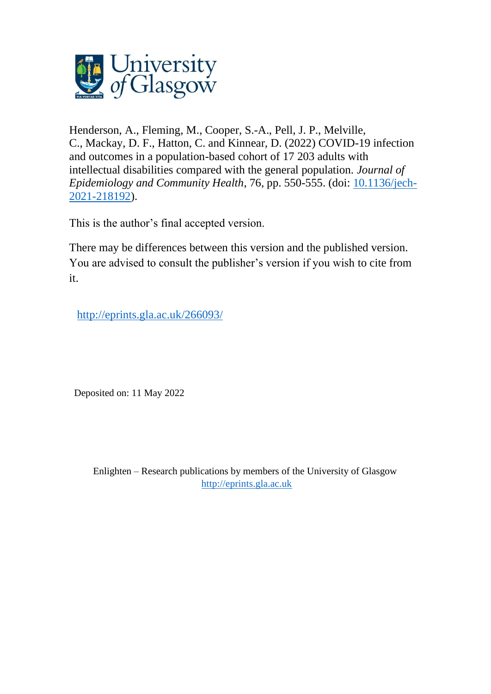

Henderson, A., Fleming, M., Cooper, S.-A., Pell, J. P., Melville, C., Mackay, D. F., Hatton, C. and Kinnear, D. (2022) COVID-19 infection and outcomes in a population-based cohort of 17 203 adults with intellectual disabilities compared with the general population. *Journal of Epidemiology and Community Health*, 76, pp. 550-555. (doi: [10.1136/jech-](http://dx.doi.org/10.1136/jech-2021-218192)[2021-218192\)](http://dx.doi.org/10.1136/jech-2021-218192).

This is the author's final accepted version.

There may be differences between this version and the published version. You are advised to consult the publisher's version if you wish to cite from it.

<http://eprints.gla.ac.uk/266093/>

Deposited on: 11 May 2022

Enlighten – Research publications by members of the University of Glasgow [http://eprints.gla.ac.uk](http://eprints.gla.ac.uk/)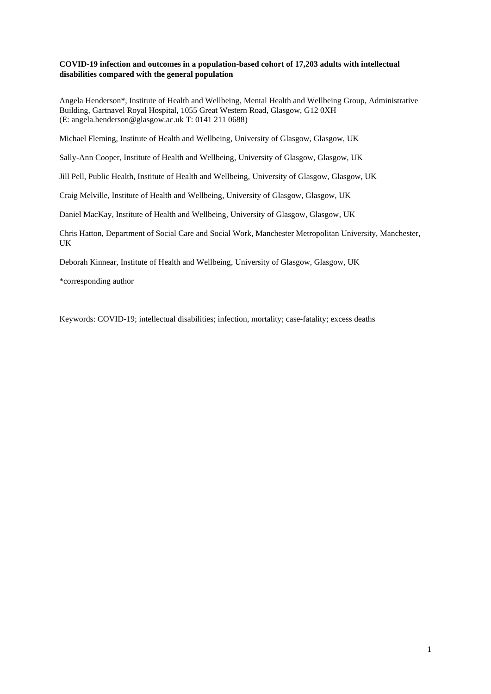## **COVID-19 infection and outcomes in a population-based cohort of 17,203 adults with intellectual disabilities compared with the general population**

Angela Henderson\*, Institute of Health and Wellbeing, Mental Health and Wellbeing Group, Administrative Building, Gartnavel Royal Hospital, 1055 Great Western Road, Glasgow, G12 0XH (E: angela.henderson@glasgow.ac.uk T: 0141 211 0688)

Michael Fleming, Institute of Health and Wellbeing, University of Glasgow, Glasgow, UK

Sally-Ann Cooper, Institute of Health and Wellbeing, University of Glasgow, Glasgow, UK

Jill Pell, Public Health, Institute of Health and Wellbeing, University of Glasgow, Glasgow, UK

Craig Melville, Institute of Health and Wellbeing, University of Glasgow, Glasgow, UK

Daniel MacKay, Institute of Health and Wellbeing, University of Glasgow, Glasgow, UK

Chris Hatton, Department of Social Care and Social Work, Manchester Metropolitan University, Manchester, UK

Deborah Kinnear, Institute of Health and Wellbeing, University of Glasgow, Glasgow, UK

\*corresponding author

Keywords: COVID-19; intellectual disabilities; infection, mortality; case-fatality; excess deaths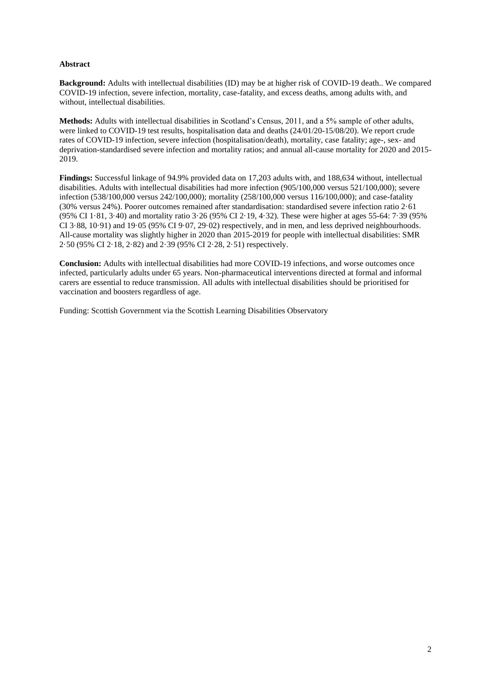## **Abstract**

**Background:** Adults with intellectual disabilities (ID) may be at higher risk of COVID-19 death.. We compared COVID-19 infection, severe infection, mortality, case-fatality, and excess deaths, among adults with, and without, intellectual disabilities.

**Methods:** Adults with intellectual disabilities in Scotland's Census, 2011, and a 5% sample of other adults, were linked to COVID-19 test results, hospitalisation data and deaths (24/01/20-15/08/20). We report crude rates of COVID-19 infection, severe infection (hospitalisation/death), mortality, case fatality; age-, sex- and deprivation-standardised severe infection and mortality ratios; and annual all-cause mortality for 2020 and 2015- 2019.

**Findings:** Successful linkage of 94.9% provided data on 17,203 adults with, and 188,634 without, intellectual disabilities. Adults with intellectual disabilities had more infection (905/100,000 versus 521/100,000); severe infection (538/100,000 versus 242/100,000); mortality (258/100,000 versus 116/100,000); and case-fatality (30% versus 24%). Poorer outcomes remained after standardisation: standardised severe infection ratio 2·61 (95% CI 1·81, 3·40) and mortality ratio 3·26 (95% CI 2·19, 4·32). These were higher at ages 55-64: 7·39 (95% CI 3·88, 10·91) and 19·05 (95% CI 9·07, 29·02) respectively, and in men, and less deprived neighbourhoods. All-cause mortality was slightly higher in 2020 than 2015-2019 for people with intellectual disabilities: SMR 2·50 (95% CI 2·18, 2·82) and 2·39 (95% CI 2·28, 2·51) respectively.

**Conclusion:** Adults with intellectual disabilities had more COVID-19 infections, and worse outcomes once infected, particularly adults under 65 years. Non-pharmaceutical interventions directed at formal and informal carers are essential to reduce transmission. All adults with intellectual disabilities should be prioritised for vaccination and boosters regardless of age.

Funding: Scottish Government via the Scottish Learning Disabilities Observatory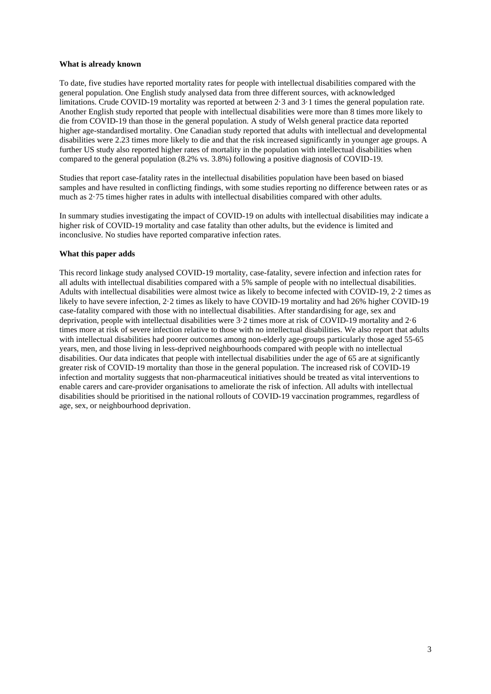### **What is already known**

To date, five studies have reported mortality rates for people with intellectual disabilities compared with the general population. One English study analysed data from three different sources, with acknowledged limitations. Crude COVID-19 mortality was reported at between 2·3 and 3·1 times the general population rate. Another English study reported that people with intellectual disabilities were more than 8 times more likely to die from COVID-19 than those in the general population. A study of Welsh general practice data reported higher age-standardised mortality. One Canadian study reported that adults with intellectual and developmental disabilities were 2.23 times more likely to die and that the risk increased significantly in younger age groups. A further US study also reported higher rates of mortality in the population with intellectual disabilities when compared to the general population (8.2% vs. 3.8%) following a positive diagnosis of COVID-19.

Studies that report case-fatality rates in the intellectual disabilities population have been based on biased samples and have resulted in conflicting findings, with some studies reporting no difference between rates or as much as 2·75 times higher rates in adults with intellectual disabilities compared with other adults.

In summary studies investigating the impact of COVID-19 on adults with intellectual disabilities may indicate a higher risk of COVID-19 mortality and case fatality than other adults, but the evidence is limited and inconclusive. No studies have reported comparative infection rates.

### **What this paper adds**

This record linkage study analysed COVID-19 mortality, case-fatality, severe infection and infection rates for all adults with intellectual disabilities compared with a 5% sample of people with no intellectual disabilities. Adults with intellectual disabilities were almost twice as likely to become infected with COVID-19, 2·2 times as likely to have severe infection, 2·2 times as likely to have COVID-19 mortality and had 26% higher COVID-19 case-fatality compared with those with no intellectual disabilities. After standardising for age, sex and deprivation, people with intellectual disabilities were 3·2 times more at risk of COVID-19 mortality and 2·6 times more at risk of severe infection relative to those with no intellectual disabilities. We also report that adults with intellectual disabilities had poorer outcomes among non-elderly age-groups particularly those aged 55-65 years, men, and those living in less-deprived neighbourhoods compared with people with no intellectual disabilities. Our data indicates that people with intellectual disabilities under the age of 65 are at significantly greater risk of COVID-19 mortality than those in the general population. The increased risk of COVID-19 infection and mortality suggests that non-pharmaceutical initiatives should be treated as vital interventions to enable carers and care-provider organisations to ameliorate the risk of infection. All adults with intellectual disabilities should be prioritised in the national rollouts of COVID-19 vaccination programmes, regardless of age, sex, or neighbourhood deprivation.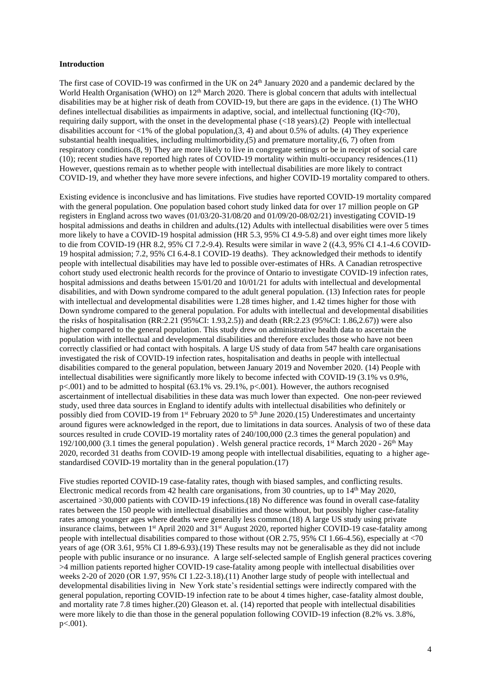#### **Introduction**

The first case of COVID-19 was confirmed in the UK on 24<sup>th</sup> January 2020 and a pandemic declared by the World Health Organisation (WHO) on 12<sup>th</sup> March 2020. There is global concern that adults with intellectual disabilities may be at higher risk of death from COVID-19, but there are gaps in the evidence. (1) The WHO defines intellectual disabilities as impairments in adaptive, social, and intellectual functioning (IQ<70), requiring daily support, with the onset in the developmental phase (<18 years).(2) People with intellectual disabilities account for <1% of the global population,  $(3, 4)$  and about 0.5% of adults. (4) They experience substantial health inequalities, including multimorbidity,(5) and premature mortality,(6, 7) often from respiratory conditions.(8, 9) They are more likely to live in congregate settings or be in receipt of social care (10); recent studies have reported high rates of COVID-19 mortality within multi-occupancy residences.(11) However, questions remain as to whether people with intellectual disabilities are more likely to contract COVID-19, and whether they have more severe infections, and higher COVID-19 mortality compared to others.

Existing evidence is inconclusive and has limitations. Five studies have reported COVID-19 mortality compared with the general population. One population based cohort study linked data for over 17 million people on GP registers in England across two waves (01/03/20-31/08/20 and 01/09/20-08/02/21) investigating COVID-19 hospital admissions and deaths in children and adults.(12) Adults with intellectual disabilities were over 5 times more likely to have a COVID-19 hospital admission (HR 5.3, 95% CI 4.9-5.8) and over eight times more likely to die from COVID-19 (HR 8.2, 95% CI 7.2-9.4). Results were similar in wave 2 ((4.3, 95% CI 4.1-4.6 COVID-19 hospital admission; 7.2, 95% CI 6.4-8.1 COVID-19 deaths). They acknowledged their methods to identify people with intellectual disabilities may have led to possible over-estimates of HRs. A Canadian retrospective cohort study used electronic health records for the province of Ontario to investigate COVID-19 infection rates, hospital admissions and deaths between  $15/01/20$  and  $10/01/21$  for adults with intellectual and developmental disabilities, and with Down syndrome compared to the adult general population. (13) Infection rates for people with intellectual and developmental disabilities were 1.28 times higher, and 1.42 times higher for those with Down syndrome compared to the general population. For adults with intellectual and developmental disabilities the risks of hospitalisation (RR:2.21 (95%CI: 1.93,2.5)) and death (RR:2.23 (95%CI: 1.86,2.67)) were also higher compared to the general population. This study drew on administrative health data to ascertain the population with intellectual and developmental disabilities and therefore excludes those who have not been correctly classified or had contact with hospitals. A large US study of data from 547 health care organisations investigated the risk of COVID-19 infection rates, hospitalisation and deaths in people with intellectual disabilities compared to the general population, between January 2019 and November 2020. (14) People with intellectual disabilities were significantly more likely to become infected with COVID-19 (3.1% vs 0.9%,  $p\leq 0.001$ ) and to be admitted to hospital (63.1% vs. 29.1%,  $p\leq 0.01$ ). However, the authors recognised ascertainment of intellectual disabilities in these data was much lower than expected. One non-peer reviewed study, used three data sources in England to identify adults with intellectual disabilities who definitely or possibly died from COVID-19 from 1<sup>st</sup> February 2020 to 5<sup>th</sup> June 2020.(15) Underestimates and uncertainty around figures were acknowledged in the report, due to limitations in data sources. Analysis of two of these data sources resulted in crude COVID-19 mortality rates of 240/100,000 (2.3 times the general population) and 192/100,000 (3.1 times the general population). Welsh general practice records,  $1<sup>st</sup> March 2020 - 26<sup>th</sup> May$ 2020, recorded 31 deaths from COVID-19 among people with intellectual disabilities, equating to a higher agestandardised COVID-19 mortality than in the general population.(17)

Five studies reported COVID-19 case-fatality rates, though with biased samples, and conflicting results. Electronic medical records from 42 health care organisations, from 30 countries, up to 14<sup>th</sup> May 2020, ascertained >30,000 patients with COVID-19 infections.(18) No difference was found in overall case-fatality rates between the 150 people with intellectual disabilities and those without, but possibly higher case-fatality rates among younger ages where deaths were generally less common.(18) A large US study using private insurance claims, between 1<sup>st</sup> April 2020 and 31<sup>st</sup> August 2020, reported higher COVID-19 case-fatality among people with intellectual disabilities compared to those without (OR 2.75, 95% CI 1.66-4.56), especially at <70 years of age (OR 3.61, 95% CI 1.89-6.93).(19) These results may not be generalisable as they did not include people with public insurance or no insurance. A large self-selected sample of English general practices covering >4 million patients reported higher COVID-19 case-fatality among people with intellectual disabilities over weeks 2-20 of 2020 (OR 1.97, 95% CI 1.22-3.18).(11) Another large study of people with intellectual and developmental disabilities living in New York state's residential settings were indirectly compared with the general population, reporting COVID-19 infection rate to be about 4 times higher, case-fatality almost double, and mortality rate 7.8 times higher.(20) Gleason et. al. (14) reported that people with intellectual disabilities were more likely to die than those in the general population following COVID-19 infection (8.2% vs. 3.8%, p<.001).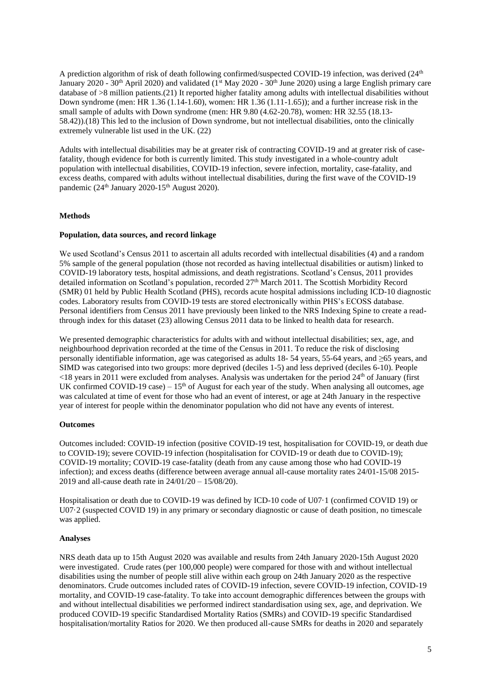A prediction algorithm of risk of death following confirmed/suspected COVID-19 infection, was derived (24<sup>th</sup>) January 2020 - 30<sup>th</sup> April 2020) and validated (1<sup>st</sup> May 2020 - 30<sup>th</sup> June 2020) using a large English primary care database of >8 million patients.(21) It reported higher fatality among adults with intellectual disabilities without Down syndrome (men: HR 1.36 (1.14-1.60), women: HR 1.36 (1.11-1.65)); and a further increase risk in the small sample of adults with Down syndrome (men: HR 9.80 (4.62-20.78), women: HR 32.55 (18.13- 58.42)).(18) This led to the inclusion of Down syndrome, but not intellectual disabilities, onto the clinically extremely vulnerable list used in the UK. (22)

Adults with intellectual disabilities may be at greater risk of contracting COVID-19 and at greater risk of casefatality, though evidence for both is currently limited. This study investigated in a whole-country adult population with intellectual disabilities, COVID-19 infection, severe infection, mortality, case-fatality, and excess deaths, compared with adults without intellectual disabilities, during the first wave of the COVID-19 pandemic (24<sup>th</sup> January 2020-15<sup>th</sup> August 2020).

### **Methods**

### **Population, data sources, and record linkage**

We used Scotland's Census 2011 to ascertain all adults recorded with intellectual disabilities (4) and a random 5% sample of the general population (those not recorded as having intellectual disabilities or autism) linked to COVID-19 laboratory tests, hospital admissions, and death registrations. Scotland's Census, 2011 provides detailed information on Scotland's population, recorded  $27<sup>th</sup>$  March 2011. The Scottish Morbidity Record (SMR) 01 held by Public Health Scotland (PHS), records acute hospital admissions including ICD-10 diagnostic codes. Laboratory results from COVID-19 tests are stored electronically within PHS's ECOSS database. Personal identifiers from Census 2011 have previously been linked to the NRS Indexing Spine to create a readthrough index for this dataset (23) allowing Census 2011 data to be linked to health data for research.

We presented demographic characteristics for adults with and without intellectual disabilities; sex, age, and neighbourhood deprivation recorded at the time of the Census in 2011. To reduce the risk of disclosing personally identifiable information, age was categorised as adults 18- 54 years, 55-64 years, and ≥65 years, and SIMD was categorised into two groups: more deprived (deciles 1-5) and less deprived (deciles 6-10). People  $\leq$ 18 years in 2011 were excluded from analyses. Analysis was undertaken for the period 24<sup>th</sup> of January (first UK confirmed COVID-19 case) –  $15<sup>th</sup>$  of August for each year of the study. When analysing all outcomes, age was calculated at time of event for those who had an event of interest, or age at 24th January in the respective year of interest for people within the denominator population who did not have any events of interest.

## **Outcomes**

Outcomes included: COVID-19 infection (positive COVID-19 test, hospitalisation for COVID-19, or death due to COVID-19); severe COVID-19 infection (hospitalisation for COVID-19 or death due to COVID-19); COVID-19 mortality; COVID-19 case-fatality (death from any cause among those who had COVID-19 infection); and excess deaths (difference between average annual all-cause mortality rates 24/01-15/08 2015- 2019 and all-cause death rate in 24/01/20 – 15/08/20).

Hospitalisation or death due to COVID-19 was defined by ICD-10 code of U07·1 (confirmed COVID 19) or U07·2 (suspected COVID 19) in any primary or secondary diagnostic or cause of death position, no timescale was applied.

#### **Analyses**

NRS death data up to 15th August 2020 was available and results from 24th January 2020-15th August 2020 were investigated. Crude rates (per 100,000 people) were compared for those with and without intellectual disabilities using the number of people still alive within each group on 24th January 2020 as the respective denominators. Crude outcomes included rates of COVID-19 infection, severe COVID-19 infection, COVID-19 mortality, and COVID-19 case-fatality. To take into account demographic differences between the groups with and without intellectual disabilities we performed indirect standardisation using sex, age, and deprivation. We produced COVID-19 specific Standardised Mortality Ratios (SMRs) and COVID-19 specific Standardised hospitalisation/mortality Ratios for 2020. We then produced all-cause SMRs for deaths in 2020 and separately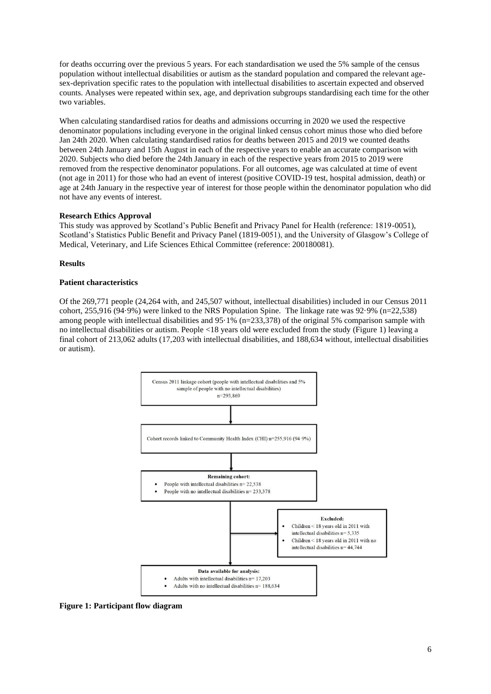for deaths occurring over the previous 5 years. For each standardisation we used the 5% sample of the census population without intellectual disabilities or autism as the standard population and compared the relevant agesex-deprivation specific rates to the population with intellectual disabilities to ascertain expected and observed counts. Analyses were repeated within sex, age, and deprivation subgroups standardising each time for the other two variables.

When calculating standardised ratios for deaths and admissions occurring in 2020 we used the respective denominator populations including everyone in the original linked census cohort minus those who died before Jan 24th 2020. When calculating standardised ratios for deaths between 2015 and 2019 we counted deaths between 24th January and 15th August in each of the respective years to enable an accurate comparison with 2020. Subjects who died before the 24th January in each of the respective years from 2015 to 2019 were removed from the respective denominator populations. For all outcomes, age was calculated at time of event (not age in 2011) for those who had an event of interest (positive COVID-19 test, hospital admission, death) or age at 24th January in the respective year of interest for those people within the denominator population who did not have any events of interest.

### **Research Ethics Approval**

This study was approved by Scotland's Public Benefit and Privacy Panel for Health (reference: 1819-0051), Scotland's Statistics Public Benefit and Privacy Panel (1819-0051), and the University of Glasgow's College of Medical, Veterinary, and Life Sciences Ethical Committee (reference: 200180081).

### **Results**

### **Patient characteristics**

Of the 269,771 people (24,264 with, and 245,507 without, intellectual disabilities) included in our Census 2011 cohort, 255,916 (94·9%) were linked to the NRS Population Spine. The linkage rate was 92·9% (n=22,538) among people with intellectual disabilities and  $95.1\%$  (n=233,378) of the original 5% comparison sample with no intellectual disabilities or autism. People <18 years old were excluded from the study (Figure 1) leaving a final cohort of 213,062 adults (17,203 with intellectual disabilities, and 188,634 without, intellectual disabilities or autism).



**Figure 1: Participant flow diagram**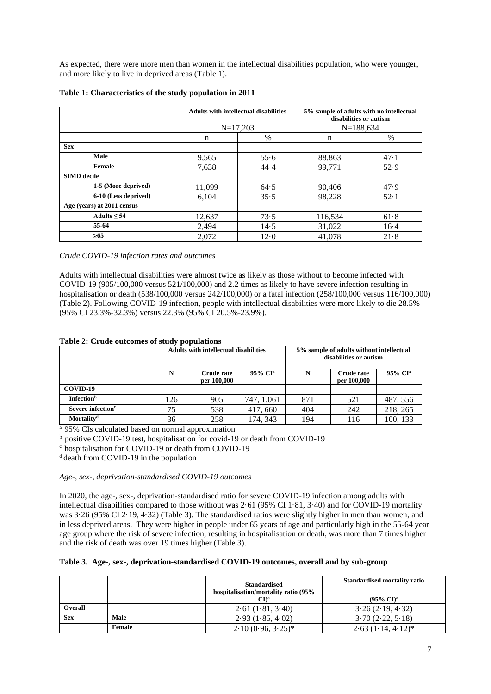As expected, there were more men than women in the intellectual disabilities population, who were younger, and more likely to live in deprived areas (Table 1).

|                            |             | <b>Adults with intellectual disabilities</b> | 5% sample of adults with no intellectual<br>disabilities or autism |             |  |  |
|----------------------------|-------------|----------------------------------------------|--------------------------------------------------------------------|-------------|--|--|
|                            |             | $N=17,203$                                   |                                                                    | $N=188,634$ |  |  |
|                            | $\mathbf n$ | %                                            | n                                                                  | %           |  |  |
| <b>Sex</b>                 |             |                                              |                                                                    |             |  |  |
| <b>Male</b>                | 9.565       | 55.6                                         | 88,863                                                             | 47.1        |  |  |
| <b>Female</b>              | 7,638       | 44.4                                         | 99,771                                                             | 52.9        |  |  |
| <b>SIMD</b> decile         |             |                                              |                                                                    |             |  |  |
| 1-5 (More deprived)        | 11,099      | 64.5                                         | 90,406                                                             | 47.9        |  |  |
| 6-10 (Less deprived)       | 6,104       | 35.5                                         | 98,228                                                             | 52.1        |  |  |
| Age (years) at 2011 census |             |                                              |                                                                    |             |  |  |
| Adults $\leq 54$           | 12,637      | 73.5                                         | 116,534                                                            | 61.8        |  |  |
| 55-64                      | 2,494       | 14.5                                         | 31,022                                                             | $16-4$      |  |  |
| $\geq 65$                  | 2,072       | 12.0                                         | 41.078                                                             | 21.8        |  |  |

## **Table 1: Characteristics of the study population in 2011**

*Crude COVID-19 infection rates and outcomes*

Adults with intellectual disabilities were almost twice as likely as those without to become infected with COVID-19 (905/100,000 versus 521/100,000) and 2.2 times as likely to have severe infection resulting in hospitalisation or death (538/100,000 versus 242/100,000) or a fatal infection (258/100,000 versus 116/100,000) (Table 2). Following COVID-19 infection, people with intellectual disabilities were more likely to die 28.5% (95% CI 23.3%-32.3%) versus 22.3% (95% CI 20.5%-23.9%).

| Table 2: Crude outcomes of study populations |  |  |  |  |  |  |
|----------------------------------------------|--|--|--|--|--|--|
|                                              |  |  |  |  |  |  |

|                               | <b>Adults with intellectual disabilities</b> |                           |                     | 5% sample of adults without intellectual<br>disabilities or autism |                                  |                     |  |  |
|-------------------------------|----------------------------------------------|---------------------------|---------------------|--------------------------------------------------------------------|----------------------------------|---------------------|--|--|
|                               | N                                            | Crude rate<br>per 100,000 | 95% CI <sup>a</sup> | N                                                                  | <b>Crude rate</b><br>per 100,000 | 95% CI <sup>a</sup> |  |  |
| COVID-19                      |                                              |                           |                     |                                                                    |                                  |                     |  |  |
| <b>Infection</b> <sup>b</sup> | 126                                          | 905                       | 747, 1,061          | 871                                                                | 521                              | 487, 556            |  |  |
| Severe infection <sup>c</sup> | 75                                           | 538                       | 417, 660            | 404                                                                | 242                              | 218, 265            |  |  |
| Mortality <sup>d</sup>        | 36                                           | 258                       | 174, 343            | 194                                                                | 116                              | 100, 133            |  |  |

<sup>a</sup> 95% CIs calculated based on normal approximation

 $<sup>b</sup>$  positive COVID-19 test, hospitalisation for covid-19 or death from COVID-19</sup>

 $\frac{c}{c}$  hospitalisation for COVID-19 or death from COVID-19

 $d$  death from COVID-19 in the population

## *Age-, sex-, deprivation-standardised COVID-19 outcomes*

In 2020, the age-, sex-, deprivation-standardised ratio for severe COVID-19 infection among adults with intellectual disabilities compared to those without was 2·61 (95% CI 1·81, 3·40) and for COVID-19 mortality was 3·26 (95% CI 2·19, 4·32) (Table 3). The standardised ratios were slightly higher in men than women, and in less deprived areas. They were higher in people under 65 years of age and particularly high in the 55-64 year age group where the risk of severe infection, resulting in hospitalisation or death, was more than 7 times higher and the risk of death was over 19 times higher (Table 3).

#### **Table 3. Age-, sex-, deprivation-standardised COVID-19 outcomes, overall and by sub-group**

|                |               | <b>Standardised</b><br>hospitalisation/mortality ratio (95%<br>CDª | <b>Standardised mortality ratio</b><br>$(95\% \text{ CI})^{\text{a}}$ |
|----------------|---------------|--------------------------------------------------------------------|-----------------------------------------------------------------------|
| <b>Overall</b> |               | 2.61(1.81, 3.40)                                                   | 3.26(2.19, 4.32)                                                      |
| <b>Sex</b>     | Male          | 2.93(1.85, 4.02)                                                   | 3.70(2.22, 5.18)                                                      |
|                | <b>Female</b> | $2.10(0.96, 3.25)^*$                                               | $2.63(1.14, 4.12)^*$                                                  |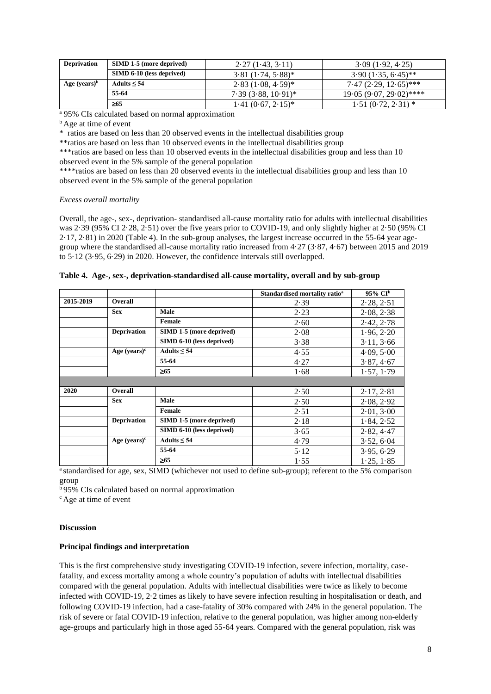| <b>Deprivation</b> | <b>SIMD 1-5 (more deprived)</b> | 2.27(1.43, 3.11)      | 3.09(1.92, 4.25)          |
|--------------------|---------------------------------|-----------------------|---------------------------|
|                    | SIMD 6-10 (less deprived)       | $3.81(1.74, 5.88)^*$  | $3.90(1.35, 6.45)$ **     |
| Age $(years)^b$    | Adults $\leq 54$                | $2.83(1.08, 4.59)^*$  | $7.47(2.29, 12.65)$ ***   |
|                    | 55-64                           | $7.39(3.88, 10.91)^*$ | $19.05(9.07, 29.02)$ **** |
|                    | $\geq 65$                       | $1.41(0.67, 2.15)^*$  | $1.51(0.72, 2.31)$ *      |

<sup>a</sup> 95% CIs calculated based on normal approximation

**b** Age at time of event

\* ratios are based on less than 20 observed events in the intellectual disabilities group

\*\*ratios are based on less than 10 observed events in the intellectual disabilities group

\*\*\*ratios are based on less than 10 observed events in the intellectual disabilities group and less than 10 observed event in the 5% sample of the general population

\*\*\*\*ratios are based on less than 20 observed events in the intellectual disabilities group and less than 10 observed event in the 5% sample of the general population

## *Excess overall mortality*

Overall, the age-, sex-, deprivation- standardised all-cause mortality ratio for adults with intellectual disabilities was 2·39 (95% CI 2·28, 2·51) over the five years prior to COVID-19, and only slightly higher at 2·50 (95% CI 2·17, 2·81) in 2020 (Table 4). In the sub-group analyses, the largest increase occurred in the 55-64 year agegroup where the standardised all-cause mortality ratio increased from 4·27 (3·87, 4·67) between 2015 and 2019 to 5·12 (3·95, 6·29) in 2020. However, the confidence intervals still overlapped.

|           |                    |                           | Standardised mortality ratio <sup>a</sup> | 95% CI <sup>b</sup> |
|-----------|--------------------|---------------------------|-------------------------------------------|---------------------|
| 2015-2019 | <b>Overall</b>     |                           | 2.39                                      | 2.28, 2.51          |
|           | <b>Sex</b>         | Male                      | 2.23                                      | 2.08, 2.38          |
|           |                    | Female                    | 2.60                                      | 2.42, 2.78          |
|           | <b>Deprivation</b> | SIMD 1-5 (more deprived)  | 2.08                                      | 1.96, 2.20          |
|           |                    | SIMD 6-10 (less deprived) | 3.38                                      | 3.11, 3.66          |
|           | Age $(years)^c$    | Adults $\leq 54$          | 4.55                                      | 4.09, 5.00          |
|           |                    | 55-64                     | 4.27                                      | 3.87, 4.67          |
|           |                    | $\geq 65$                 | 1.68                                      | 1.57, 1.79          |
|           |                    |                           |                                           |                     |
| 2020      | Overall            |                           | 2.50                                      | 2.17, 2.81          |
|           | <b>Sex</b>         | Male                      | 2.50                                      | 2.08, 2.92          |
|           |                    | Female                    | 2.51                                      | 2.01, 3.00          |
|           | <b>Deprivation</b> | SIMD 1-5 (more deprived)  | 2.18                                      | 1.84, 2.52          |
|           |                    | SIMD 6-10 (less deprived) | 3.65                                      | 2.82, 4.47          |
|           | Age $(years)^c$    | Adults $\leq 54$          | 4.79                                      | 3.52, 6.04          |
|           |                    | 55-64                     | 5.12                                      | 3.95, 6.29          |
|           |                    | $\geq 65$                 | 1.55                                      | 1.25, 1.85          |

**Table 4. Age-, sex-, deprivation-standardised all-cause mortality, overall and by sub-group**

<sup>a</sup> standardised for age, sex, SIMD (whichever not used to define sub-group); referent to the 5% comparison group

 $595\%$  CIs calculated based on normal approximation

<sup>c</sup> Age at time of event

## **Discussion**

## **Principal findings and interpretation**

This is the first comprehensive study investigating COVID-19 infection, severe infection, mortality, casefatality, and excess mortality among a whole country's population of adults with intellectual disabilities compared with the general population. Adults with intellectual disabilities were twice as likely to become infected with COVID-19, 2·2 times as likely to have severe infection resulting in hospitalisation or death, and following COVID-19 infection, had a case-fatality of 30% compared with 24% in the general population. The risk of severe or fatal COVID-19 infection, relative to the general population, was higher among non-elderly age-groups and particularly high in those aged 55-64 years. Compared with the general population, risk was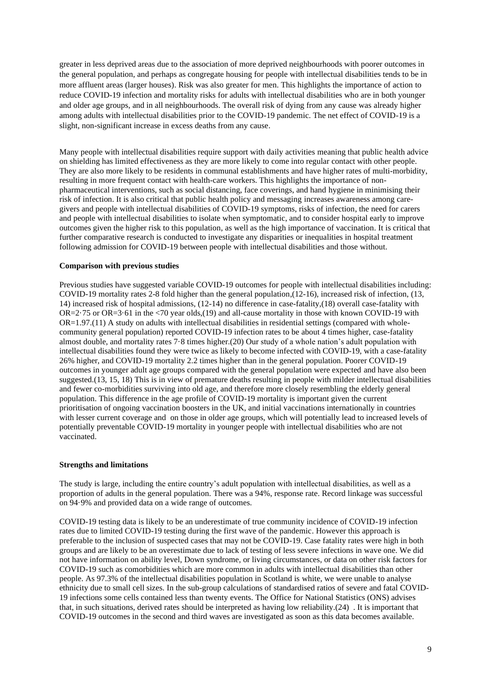greater in less deprived areas due to the association of more deprived neighbourhoods with poorer outcomes in the general population, and perhaps as congregate housing for people with intellectual disabilities tends to be in more affluent areas (larger houses). Risk was also greater for men. This highlights the importance of action to reduce COVID-19 infection and mortality risks for adults with intellectual disabilities who are in both younger and older age groups, and in all neighbourhoods. The overall risk of dying from any cause was already higher among adults with intellectual disabilities prior to the COVID-19 pandemic. The net effect of COVID-19 is a slight, non-significant increase in excess deaths from any cause.

Many people with intellectual disabilities require support with daily activities meaning that public health advice on shielding has limited effectiveness as they are more likely to come into regular contact with other people. They are also more likely to be residents in communal establishments and have higher rates of multi-morbidity, resulting in more frequent contact with health-care workers. This highlights the importance of nonpharmaceutical interventions, such as social distancing, face coverings, and hand hygiene in minimising their risk of infection. It is also critical that public health policy and messaging increases awareness among caregivers and people with intellectual disabilities of COVID-19 symptoms, risks of infection, the need for carers and people with intellectual disabilities to isolate when symptomatic, and to consider hospital early to improve outcomes given the higher risk to this population, as well as the high importance of vaccination. It is critical that further comparative research is conducted to investigate any disparities or inequalities in hospital treatment following admission for COVID-19 between people with intellectual disabilities and those without.

### **Comparison with previous studies**

Previous studies have suggested variable COVID-19 outcomes for people with intellectual disabilities including: COVID-19 mortality rates 2-8 fold higher than the general population,(12-16), increased risk of infection, (13, 14) increased risk of hospital admissions, (12-14) no difference in case-fatality,(18) overall case-fatality with OR=2·75 or OR=3·61 in the <70 year olds,(19) and all-cause mortality in those with known COVID-19 with OR=1.97.(11) A study on adults with intellectual disabilities in residential settings (compared with wholecommunity general population) reported COVID-19 infection rates to be about 4 times higher, case-fatality almost double, and mortality rates 7·8 times higher.(20) Our study of a whole nation's adult population with intellectual disabilities found they were twice as likely to become infected with COVID-19, with a case-fatality 26% higher, and COVID-19 mortality 2.2 times higher than in the general population. Poorer COVID-19 outcomes in younger adult age groups compared with the general population were expected and have also been suggested.(13, 15, 18) This is in view of premature deaths resulting in people with milder intellectual disabilities and fewer co-morbidities surviving into old age, and therefore more closely resembling the elderly general population. This difference in the age profile of COVID-19 mortality is important given the current prioritisation of ongoing vaccination boosters in the UK, and initial vaccinations internationally in countries with lesser current coverage and on those in older age groups, which will potentially lead to increased levels of potentially preventable COVID-19 mortality in younger people with intellectual disabilities who are not vaccinated.

#### **Strengths and limitations**

The study is large, including the entire country's adult population with intellectual disabilities, as well as a proportion of adults in the general population. There was a 94%, response rate. Record linkage was successful on 94·9% and provided data on a wide range of outcomes.

COVID-19 testing data is likely to be an underestimate of true community incidence of COVID-19 infection rates due to limited COVID-19 testing during the first wave of the pandemic. However this approach is preferable to the inclusion of suspected cases that may not be COVID-19. Case fatality rates were high in both groups and are likely to be an overestimate due to lack of testing of less severe infections in wave one. We did not have information on ability level, Down syndrome, or living circumstances, or data on other risk factors for COVID-19 such as comorbidities which are more common in adults with intellectual disabilities than other people. As 97.3% of the intellectual disabilities population in Scotland is white, we were unable to analyse ethnicity due to small cell sizes. In the sub-group calculations of standardised ratios of severe and fatal COVID-19 infections some cells contained less than twenty events. The Office for National Statistics (ONS) advises that, in such situations, derived rates should be interpreted as having low reliability.(24) . It is important that COVID-19 outcomes in the second and third waves are investigated as soon as this data becomes available.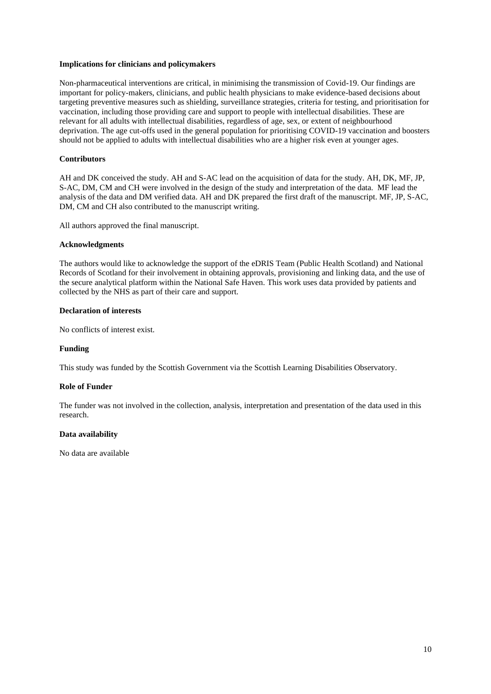## **Implications for clinicians and policymakers**

Non-pharmaceutical interventions are critical, in minimising the transmission of Covid-19. Our findings are important for policy-makers, clinicians, and public health physicians to make evidence-based decisions about targeting preventive measures such as shielding, surveillance strategies, criteria for testing, and prioritisation for vaccination, including those providing care and support to people with intellectual disabilities. These are relevant for all adults with intellectual disabilities, regardless of age, sex, or extent of neighbourhood deprivation. The age cut-offs used in the general population for prioritising COVID-19 vaccination and boosters should not be applied to adults with intellectual disabilities who are a higher risk even at younger ages.

### **Contributors**

AH and DK conceived the study. AH and S-AC lead on the acquisition of data for the study. AH, DK, MF, JP, S-AC, DM, CM and CH were involved in the design of the study and interpretation of the data. MF lead the analysis of the data and DM verified data. AH and DK prepared the first draft of the manuscript. MF, JP, S-AC, DM, CM and CH also contributed to the manuscript writing.

All authors approved the final manuscript.

#### **Acknowledgments**

The authors would like to acknowledge the support of the eDRIS Team (Public Health Scotland) and National Records of Scotland for their involvement in obtaining approvals, provisioning and linking data, and the use of the secure analytical platform within the National Safe Haven. This work uses data provided by patients and collected by the NHS as part of their care and support.

### **Declaration of interests**

No conflicts of interest exist.

#### **Funding**

This study was funded by the Scottish Government via the Scottish Learning Disabilities Observatory.

## **Role of Funder**

The funder was not involved in the collection, analysis, interpretation and presentation of the data used in this research.

## **Data availability**

No data are available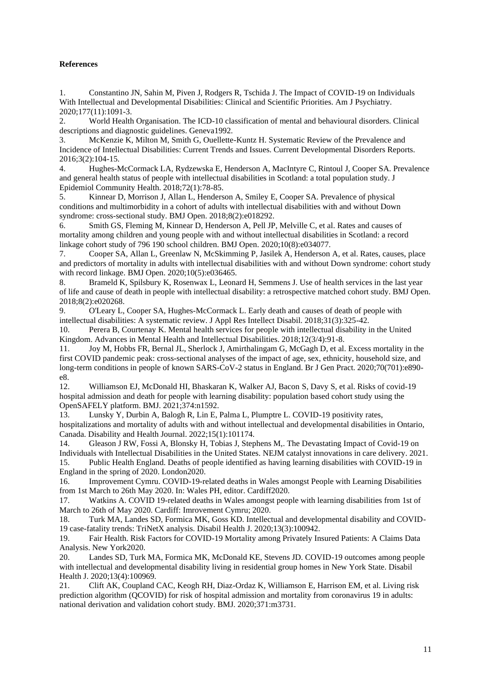# **References**

1. Constantino JN, Sahin M, Piven J, Rodgers R, Tschida J. The Impact of COVID-19 on Individuals With Intellectual and Developmental Disabilities: Clinical and Scientific Priorities. Am J Psychiatry. 2020;177(11):1091-3.

2. World Health Organisation. The ICD-10 classification of mental and behavioural disorders. Clinical descriptions and diagnostic guidelines. Geneva1992.

3. McKenzie K, Milton M, Smith G, Ouellette-Kuntz H. Systematic Review of the Prevalence and Incidence of Intellectual Disabilities: Current Trends and Issues. Current Developmental Disorders Reports. 2016;3(2):104-15.

4. Hughes-McCormack LA, Rydzewska E, Henderson A, MacIntyre C, Rintoul J, Cooper SA. Prevalence and general health status of people with intellectual disabilities in Scotland: a total population study. J Epidemiol Community Health. 2018;72(1):78-85.

5. Kinnear D, Morrison J, Allan L, Henderson A, Smiley E, Cooper SA. Prevalence of physical conditions and multimorbidity in a cohort of adults with intellectual disabilities with and without Down syndrome: cross-sectional study. BMJ Open. 2018;8(2):e018292.

6. Smith GS, Fleming M, Kinnear D, Henderson A, Pell JP, Melville C, et al. Rates and causes of mortality among children and young people with and without intellectual disabilities in Scotland: a record linkage cohort study of 796 190 school children. BMJ Open. 2020;10(8):e034077.

7. Cooper SA, Allan L, Greenlaw N, McSkimming P, Jasilek A, Henderson A, et al. Rates, causes, place and predictors of mortality in adults with intellectual disabilities with and without Down syndrome: cohort study with record linkage. BMJ Open. 2020;10(5):e036465.

8. Brameld K, Spilsbury K, Rosenwax L, Leonard H, Semmens J. Use of health services in the last year of life and cause of death in people with intellectual disability: a retrospective matched cohort study. BMJ Open. 2018;8(2):e020268.

9. O'Leary L, Cooper SA, Hughes-McCormack L. Early death and causes of death of people with intellectual disabilities: A systematic review. J Appl Res Intellect Disabil. 2018;31(3):325-42.

10. Perera B, Courtenay K. Mental health services for people with intellectual disability in the United Kingdom. Advances in Mental Health and Intellectual Disabilities. 2018;12(3/4):91-8.

11. Joy M, Hobbs FR, Bernal JL, Sherlock J, Amirthalingam G, McGagh D, et al. Excess mortality in the first COVID pandemic peak: cross-sectional analyses of the impact of age, sex, ethnicity, household size, and long-term conditions in people of known SARS-CoV-2 status in England. Br J Gen Pract. 2020;70(701):e890 e8.

12. Williamson EJ, McDonald HI, Bhaskaran K, Walker AJ, Bacon S, Davy S, et al. Risks of covid-19 hospital admission and death for people with learning disability: population based cohort study using the OpenSAFELY platform. BMJ. 2021;374:n1592.

13. Lunsky Y, Durbin A, Balogh R, Lin E, Palma L, Plumptre L. COVID-19 positivity rates, hospitalizations and mortality of adults with and without intellectual and developmental disabilities in Ontario, Canada. Disability and Health Journal. 2022;15(1):101174.

14. Gleason J RW, Fossi A, Blonsky H, Tobias J, Stephens M,. The Devastating Impact of Covid-19 on Individuals with Intellectual Disabilities in the United States. NEJM catalyst innovations in care delivery. 2021. 15. Public Health England. Deaths of people identified as having learning disabilities with COVID-19 in England in the spring of 2020. London2020.

16. Improvement Cymru. COVID-19-related deaths in Wales amongst People with Learning Disabilities from 1st March to 26th May 2020. In: Wales PH, editor. Cardiff2020.

17. Watkins A. COVID 19-related deaths in Wales amongst people with learning disabilities from 1st of March to 26th of May 2020. Cardiff: Imrovement Cymru; 2020.

18. Turk MA, Landes SD, Formica MK, Goss KD. Intellectual and developmental disability and COVID-19 case-fatality trends: TriNetX analysis. Disabil Health J. 2020;13(3):100942.

19. Fair Health. Risk Factors for COVID-19 Mortality among Privately Insured Patients: A Claims Data Analysis. New York2020.

20. Landes SD, Turk MA, Formica MK, McDonald KE, Stevens JD. COVID-19 outcomes among people with intellectual and developmental disability living in residential group homes in New York State. Disabil Health J. 2020;13(4):100969.

21. Clift AK, Coupland CAC, Keogh RH, Diaz-Ordaz K, Williamson E, Harrison EM, et al. Living risk prediction algorithm (QCOVID) for risk of hospital admission and mortality from coronavirus 19 in adults: national derivation and validation cohort study. BMJ. 2020;371:m3731.